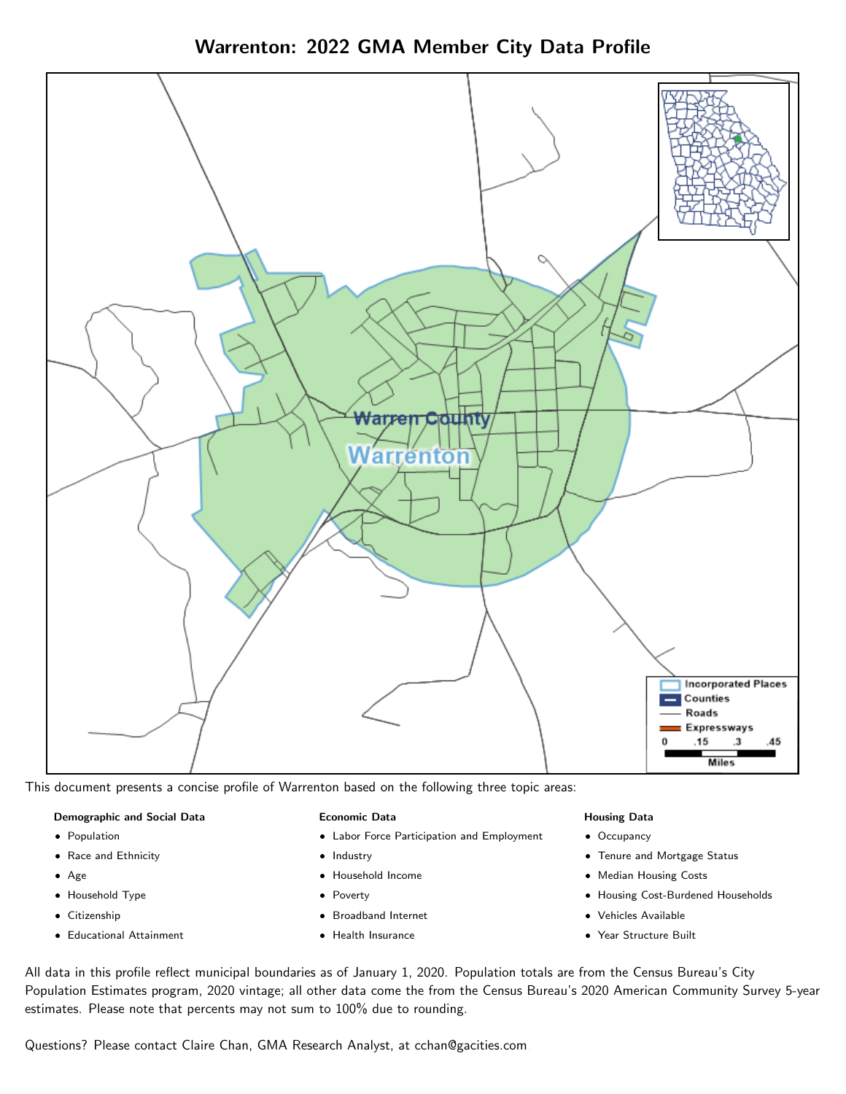Warrenton: 2022 GMA Member City Data Profile



This document presents a concise profile of Warrenton based on the following three topic areas:

#### Demographic and Social Data

- **•** Population
- Race and Ethnicity
- Age
- Household Type
- **Citizenship**
- Educational Attainment

#### Economic Data

- Labor Force Participation and Employment
- Industry
- Household Income
- Poverty
- Broadband Internet
- Health Insurance

#### Housing Data

- Occupancy
- Tenure and Mortgage Status
- Median Housing Costs
- Housing Cost-Burdened Households
- Vehicles Available
- Year Structure Built

All data in this profile reflect municipal boundaries as of January 1, 2020. Population totals are from the Census Bureau's City Population Estimates program, 2020 vintage; all other data come the from the Census Bureau's 2020 American Community Survey 5-year estimates. Please note that percents may not sum to 100% due to rounding.

Questions? Please contact Claire Chan, GMA Research Analyst, at [cchan@gacities.com.](mailto:cchan@gacities.com)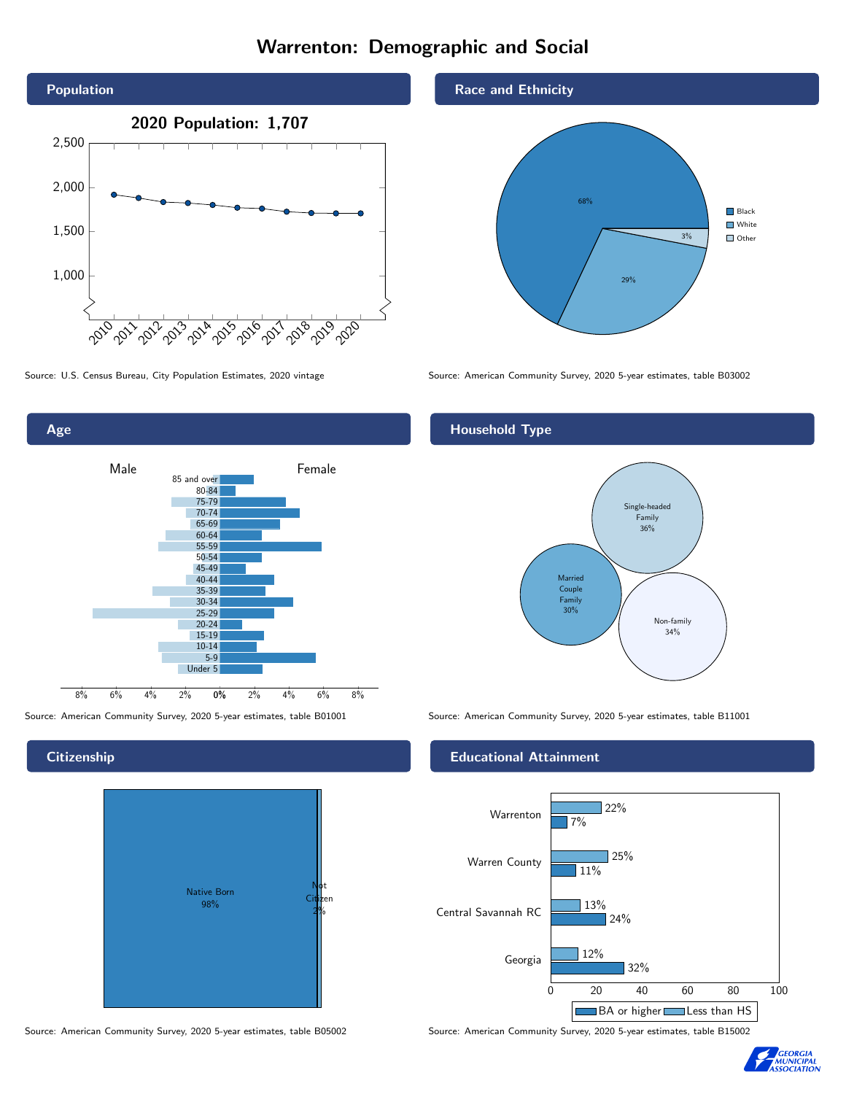# Warrenton: Demographic and Social





## **Citizenship**



Source: American Community Survey, 2020 5-year estimates, table B05002 Source: American Community Survey, 2020 5-year estimates, table B15002

#### Race and Ethnicity



Source: U.S. Census Bureau, City Population Estimates, 2020 vintage Source: American Community Survey, 2020 5-year estimates, table B03002

## Household Type



Source: American Community Survey, 2020 5-year estimates, table B01001 Source: American Community Survey, 2020 5-year estimates, table B11001

#### Educational Attainment



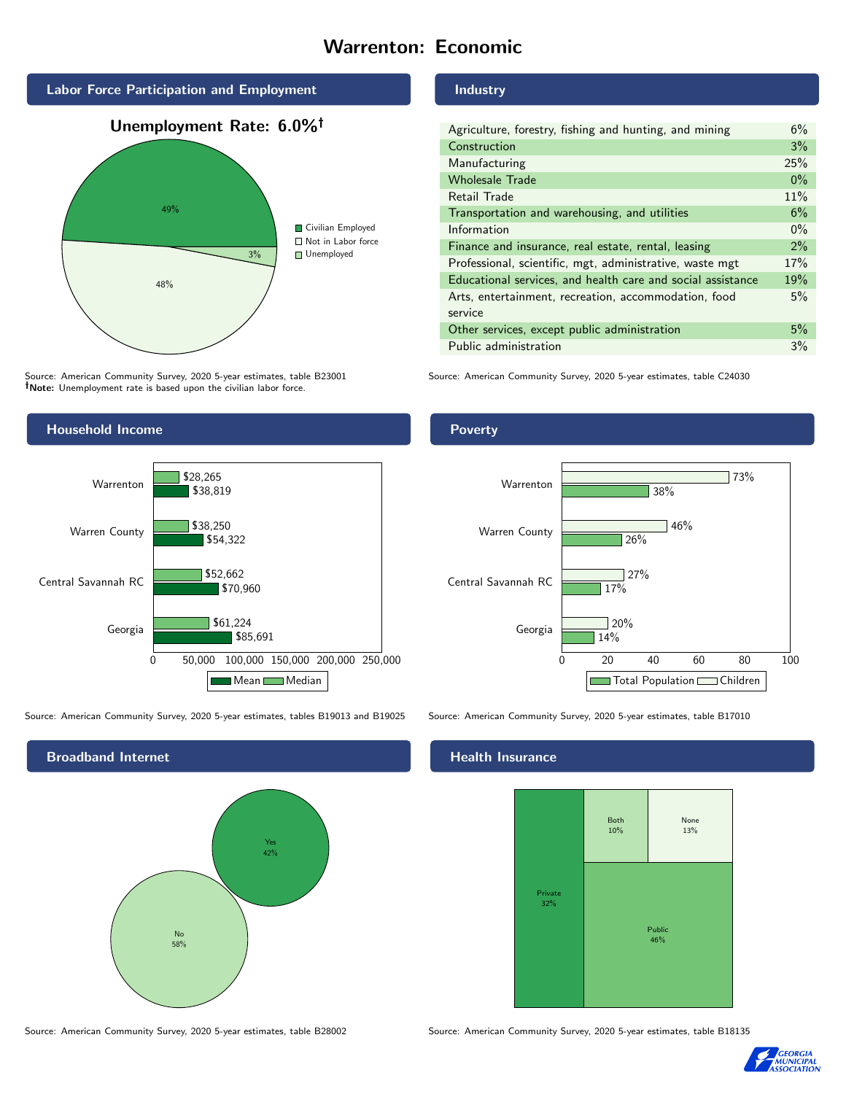# Warrenton: Economic



Source: American Community Survey, 2020 5-year estimates, table B23001 Note: Unemployment rate is based upon the civilian labor force.

### Industry

| Agriculture, forestry, fishing and hunting, and mining      | 6%    |
|-------------------------------------------------------------|-------|
| Construction                                                | 3%    |
| Manufacturing                                               | 25%   |
| <b>Wholesale Trade</b>                                      | $0\%$ |
| Retail Trade                                                | 11%   |
| Transportation and warehousing, and utilities               | 6%    |
| Information                                                 | $0\%$ |
| Finance and insurance, real estate, rental, leasing         | $2\%$ |
| Professional, scientific, mgt, administrative, waste mgt    | 17%   |
| Educational services, and health care and social assistance | 19%   |
| Arts, entertainment, recreation, accommodation, food        | 5%    |
| service                                                     |       |
| Other services, except public administration                | 5%    |
| Public administration                                       | 3%    |

Source: American Community Survey, 2020 5-year estimates, table C24030



Source: American Community Survey, 2020 5-year estimates, tables B19013 and B19025 Source: American Community Survey, 2020 5-year estimates, table B17010

Broadband Internet No 58% Yes 42%

#### Health Insurance



Source: American Community Survey, 2020 5-year estimates, table B28002 Source: American Community Survey, 2020 5-year estimates, table B18135



#### Poverty